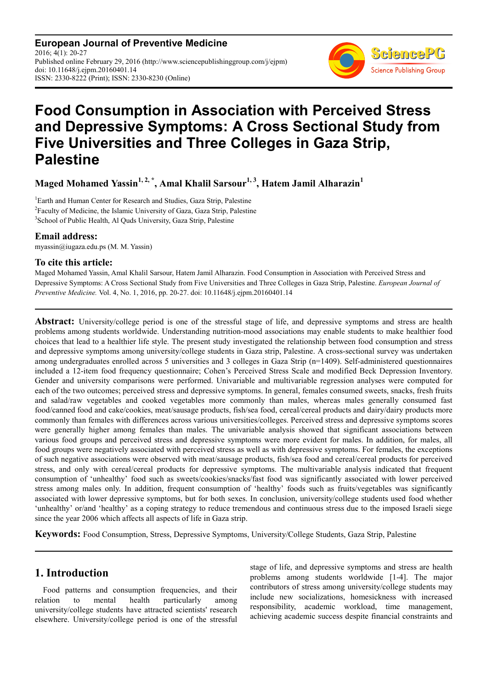**European Journal of Preventive Medicine** 2016; 4(1): 20-27 Published online February 29, 2016 (http://www.sciencepublishinggroup.com/j/ejpm) doi: 10.11648/j.ejpm.20160401.14 ISSN: 2330-8222 (Print); ISSN: 2330-8230 (Online)



# **Food Consumption in Association with Perceived Stress and Depressive Symptoms: A Cross Sectional Study from Five Universities and Three Colleges in Gaza Strip, Palestine**

**Maged Mohamed Yassin1, 2, \*, Amal Khalil Sarsour1, 3, Hatem Jamil Alharazin<sup>1</sup>**

<sup>1</sup>Earth and Human Center for Research and Studies, Gaza Strip, Palestine <sup>2</sup>Faculty of Medicine, the Islamic University of Gaza, Gaza Strip, Palestine <sup>3</sup> School of Public Health, Al Quds University, Gaza Strip, Palestine

### **Email address:**

myassin@iugaza.edu.ps (M. M. Yassin)

### **To cite this article:**

Maged Mohamed Yassin, Amal Khalil Sarsour, Hatem Jamil Alharazin. Food Consumption in Association with Perceived Stress and Depressive Symptoms: A Cross Sectional Study from Five Universities and Three Colleges in Gaza Strip, Palestine. *European Journal of Preventive Medicine.* Vol. 4, No. 1, 2016, pp. 20-27. doi: 10.11648/j.ejpm.20160401.14

**Abstract:** University/college period is one of the stressful stage of life, and depressive symptoms and stress are health problems among students worldwide. Understanding nutrition-mood associations may enable students to make healthier food choices that lead to a healthier life style. The present study investigated the relationship between food consumption and stress and depressive symptoms among university/college students in Gaza strip, Palestine. A cross-sectional survey was undertaken among undergraduates enrolled across 5 universities and 3 colleges in Gaza Strip (n=1409). Self-administered questionnaires included a 12-item food frequency questionnaire; Cohen's Perceived Stress Scale and modified Beck Depression Inventory. Gender and university comparisons were performed. Univariable and multivariable regression analyses were computed for each of the two outcomes; perceived stress and depressive symptoms. In general, females consumed sweets, snacks, fresh fruits and salad/raw vegetables and cooked vegetables more commonly than males, whereas males generally consumed fast food/canned food and cake/cookies, meat/sausage products, fish/sea food, cereal/cereal products and dairy/dairy products more commonly than females with differences across various universities/colleges. Perceived stress and depressive symptoms scores were generally higher among females than males. The univariable analysis showed that significant associations between various food groups and perceived stress and depressive symptoms were more evident for males. In addition, for males, all food groups were negatively associated with perceived stress as well as with depressive symptoms. For females, the exceptions of such negative associations were observed with meat/sausage products, fish/sea food and cereal/cereal products for perceived stress, and only with cereal/cereal products for depressive symptoms. The multivariable analysis indicated that frequent consumption of 'unhealthy' food such as sweets/cookies/snacks/fast food was significantly associated with lower perceived stress among males only. In addition, frequent consumption of 'healthy' foods such as fruits/vegetables was significantly associated with lower depressive symptoms, but for both sexes. In conclusion, university/college students used food whether 'unhealthy' or/and 'healthy' as a coping strategy to reduce tremendous and continuous stress due to the imposed Israeli siege since the year 2006 which affects all aspects of life in Gaza strip.

**Keywords:** Food Consumption, Stress, Depressive Symptoms, University/College Students, Gaza Strip, Palestine

# **1. Introduction**

Food patterns and consumption frequencies, and their relation to mental health particularly among university/college students have attracted scientists' research elsewhere. University/college period is one of the stressful stage of life, and depressive symptoms and stress are health problems among students worldwide [1-4]. The major contributors of stress among university/college students may include new socializations, homesickness with increased responsibility, academic workload, time management, achieving academic success despite financial constraints and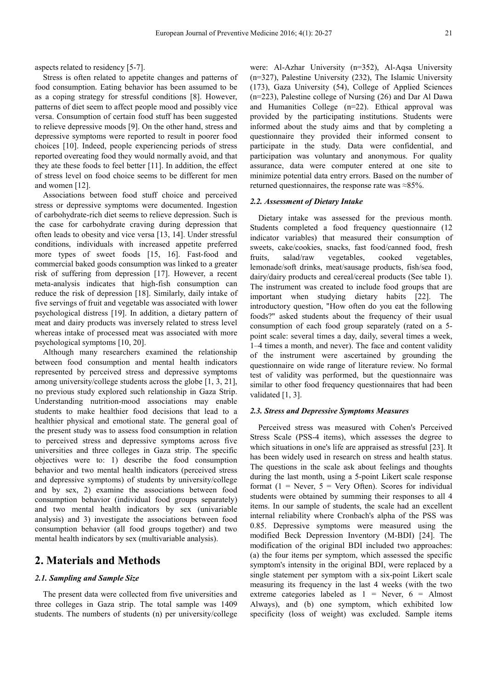aspects related to residency [5-7].

Stress is often related to appetite changes and patterns of food consumption. Eating behavior has been assumed to be as a coping strategy for stressful conditions [8]. However, patterns of diet seem to affect people mood and possibly vice versa. Consumption of certain food stuff has been suggested to relieve depressive moods [9]. On the other hand, stress and depressive symptoms were reported to result in poorer food choices [10]. Indeed, people experiencing periods of stress reported overeating food they would normally avoid, and that they ate these foods to feel better [11]. In addition, the effect of stress level on food choice seems to be different for men and women [12].

Associations between food stuff choice and perceived stress or depressive symptoms were documented. Ingestion of carbohydrate-rich diet seems to relieve depression. Such is the case for carbohydrate craving during depression that often leads to obesity and vice versa [13, 14]. Under stressful conditions, individuals with increased appetite preferred more types of sweet foods [15, 16]. Fast-food and commercial baked goods consumption was linked to a greater risk of suffering from depression [17]. However, a recent meta-analysis indicates that high-fish consumption can reduce the risk of depression [18]. Similarly, daily intake of five servings of fruit and vegetable was associated with lower psychological distress [19]. In addition, a dietary pattern of meat and dairy products was inversely related to stress level whereas intake of processed meat was associated with more psychological symptoms [10, 20].

Although many researchers examined the relationship between food consumption and mental health indicators represented by perceived stress and depressive symptoms among university/college students across the globe [1, 3, 21], no previous study explored such relationship in Gaza Strip. Understanding nutrition-mood associations may enable students to make healthier food decisions that lead to a healthier physical and emotional state. The general goal of the present study was to assess food consumption in relation to perceived stress and depressive symptoms across five universities and three colleges in Gaza strip. The specific objectives were to: 1) describe the food consumption behavior and two mental health indicators (perceived stress and depressive symptoms) of students by university/college and by sex, 2) examine the associations between food consumption behavior (individual food groups separately) and two mental health indicators by sex (univariable analysis) and 3) investigate the associations between food consumption behavior (all food groups together) and two mental health indicators by sex (multivariable analysis).

### **2. Materials and Methods**

#### *2.1. Sampling and Sample Size*

The present data were collected from five universities and three colleges in Gaza strip. The total sample was 1409 students. The numbers of students (n) per university/college were: Al-Azhar University (n=352), Al-Aqsa University (n=327), Palestine University (232), The Islamic University (173), Gaza University (54), College of Applied Sciences (n=223), Palestine college of Nursing (26) and Dar Al Dawa and Humanities College (n=22). Ethical approval was provided by the participating institutions. Students were informed about the study aims and that by completing a questionnaire they provided their informed consent to participate in the study. Data were confidential, and participation was voluntary and anonymous. For quality assurance, data were computer entered at one site to minimize potential data entry errors. Based on the number of returned questionnaires, the response rate was ≈85%.

#### *2.2. Assessment of Dietary Intake*

Dietary intake was assessed for the previous month. Students completed a food frequency questionnaire (12 indicator variables) that measured their consumption of sweets, cake/cookies, snacks, fast food/canned food, fresh fruits, salad/raw vegetables, cooked vegetables, lemonade/soft drinks, meat/sausage products, fish/sea food, dairy/dairy products and cereal/cereal products (See table 1). The instrument was created to include food groups that are important when studying dietary habits [22]. The introductory question, "How often do you eat the following foods?" asked students about the frequency of their usual consumption of each food group separately (rated on a 5 point scale: several times a day, daily, several times a week, 1–4 times a month, and never). The face and content validity of the instrument were ascertained by grounding the questionnaire on wide range of literature review. No formal test of validity was performed, but the questionnaire was similar to other food frequency questionnaires that had been validated  $[1, 3]$ .

#### *2.3. Stress and Depressive Symptoms Measures*

Perceived stress was measured with Cohen's Perceived Stress Scale (PSS-4 items), which assesses the degree to which situations in one's life are appraised as stressful [23]. It has been widely used in research on stress and health status. The questions in the scale ask about feelings and thoughts during the last month, using a 5-point Likert scale response format ( $1$  = Never,  $5$  = Very Often). Scores for individual students were obtained by summing their responses to all 4 items. In our sample of students, the scale had an excellent internal reliability where Cronbach's alpha of the PSS was 0.85. Depressive symptoms were measured using the modified Beck Depression Inventory (M-BDI) [24]. The modification of the original BDI included two approaches: (a) the four items per symptom, which assessed the specific symptom's intensity in the original BDI, were replaced by a single statement per symptom with a six-point Likert scale measuring its frequency in the last 4 weeks (with the two extreme categories labeled as  $1 =$  Never,  $6 =$  Almost Always), and (b) one symptom, which exhibited low specificity (loss of weight) was excluded. Sample items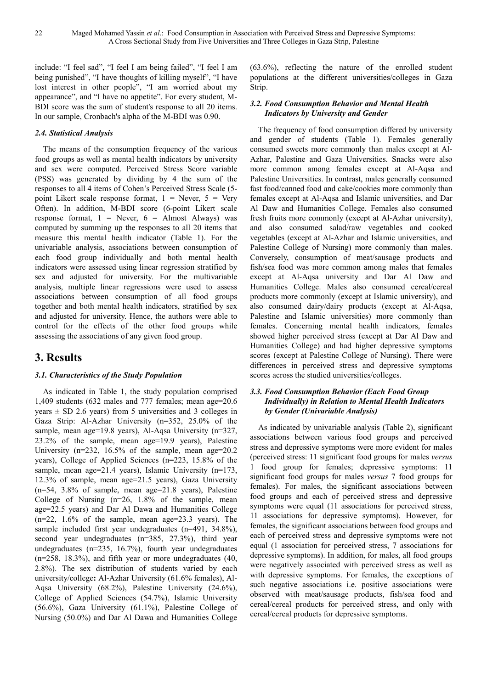include: "I feel sad", "I feel I am being failed", "I feel I am being punished", "I have thoughts of killing myself", "I have lost interest in other people", "I am worried about my appearance", and "I have no appetite". For every student, M-BDI score was the sum of student's response to all 20 items. In our sample, Cronbach's alpha of the M-BDI was 0.90.

### *2.4. Statistical Analysis*

The means of the consumption frequency of the various food groups as well as mental health indicators by university and sex were computed. Perceived Stress Score variable (PSS) was generated by dividing by 4 the sum of the responses to all 4 items of Cohen's Perceived Stress Scale (5 point Likert scale response format,  $1 =$  Never,  $5 =$  Very Often). In addition, M-BDI score (6-point Likert scale response format,  $1 =$  Never,  $6 =$  Almost Always) was computed by summing up the responses to all 20 items that measure this mental health indicator (Table 1). For the univariable analysis, associations between consumption of each food group individually and both mental health indicators were assessed using linear regression stratified by sex and adjusted for university. For the multivariable analysis, multiple linear regressions were used to assess associations between consumption of all food groups together and both mental health indicators, stratified by sex and adjusted for university. Hence, the authors were able to control for the effects of the other food groups while assessing the associations of any given food group.

# **3. Results**

### *3.1. Characteristics of the Study Population*

As indicated in Table 1, the study population comprised 1,409 students (632 males and 777 females; mean age=20.6 years  $\pm$  SD 2.6 years) from 5 universities and 3 colleges in Gaza Strip: Al-Azhar University (n=352, 25.0% of the sample, mean age=19.8 years), Al-Aqsa University (n=327, 23.2% of the sample, mean age=19.9 years), Palestine University (n=232, 16.5% of the sample, mean age=20.2 years), College of Applied Sciences (n=223, 15.8% of the sample, mean age=21.4 years), Islamic University (n=173, 12.3% of sample, mean age=21.5 years), Gaza University (n=54, 3.8% of sample, mean age=21.8 years), Palestine College of Nursing (n=26, 1.8% of the sample, mean age=22.5 years) and Dar Al Dawa and Humanities College  $(n=22, 1.6\%$  of the sample, mean age=23.3 years). The sample included first year undegraduates (n=491, 34.8%), second year undegraduates (n=385, 27.3%), third year undegraduates (n=235, 16.7%), fourth year undegraduates (n=258, 18.3%), and fifth year or more undegraduates (40, 2.8%). The sex distribution of students varied by each university/college**:** Al-Azhar University (61.6% females), Al-Aqsa University (68.2%), Palestine University (24.6%), College of Applied Sciences (54.7%), Islamic University (56.6%), Gaza University (61.1%), Palestine College of Nursing (50.0%) and Dar Al Dawa and Humanities College

(63.6%), reflecting the nature of the enrolled student populations at the different universities/colleges in Gaza Strip.

### *3.2. Food Consumption Behavior and Mental Health Indicators by University and Gender*

The frequency of food consumption differed by university and gender of students (Table 1). Females generally consumed sweets more commonly than males except at Al-Azhar, Palestine and Gaza Universities. Snacks were also more common among females except at Al-Aqsa and Palestine Universities. In contrast, males generally consumed fast food/canned food and cake/cookies more commonly than females except at Al-Aqsa and Islamic universities, and Dar Al Daw and Humanities College. Females also consumed fresh fruits more commonly (except at Al-Azhar university), and also consumed salad/raw vegetables and cooked vegetables (except at Al-Azhar and Islamic universities, and Palestine College of Nursing) more commonly than males. Conversely, consumption of meat/sausage products and fish/sea food was more common among males that females except at Al-Aqsa university and Dar Al Daw and Humanities College. Males also consumed cereal/cereal products more commonly (except at Islamic university), and also consumed dairy/dairy products (except at Al-Aqsa, Palestine and Islamic universities) more commonly than females. Concerning mental health indicators, females showed higher perceived stress (except at Dar Al Daw and Humanities College) and had higher depressive symptoms scores (except at Palestine College of Nursing). There were differences in perceived stress and depressive symptoms scores across the studied universities/colleges.

### *3.3. Food Consumption Behavior (Each Food Group Individually) in Relation to Mental Health Indicators by Gender (Univariable Analysis)*

As indicated by univariable analysis (Table 2), significant associations between various food groups and perceived stress and depressive symptoms were more evident for males (perceived stress: 11 significant food groups for males *versus* 1 food group for females; depressive symptoms: 11 significant food groups for males *versus* 7 food groups for females). For males, the significant associations between food groups and each of perceived stress and depressive symptoms were equal (11 associations for perceived stress, 11 associations for depressive symptoms). However, for females, the significant associations between food groups and each of perceived stress and depressive symptoms were not equal (1 association for perceived stress, 7 associations for depressive symptoms). In addition, for males, all food groups were negatively associated with perceived stress as well as with depressive symptoms. For females, the exceptions of such negative associations i.e. positive associations were observed with meat/sausage products, fish/sea food and cereal/cereal products for perceived stress, and only with cereal/cereal products for depressive symptoms.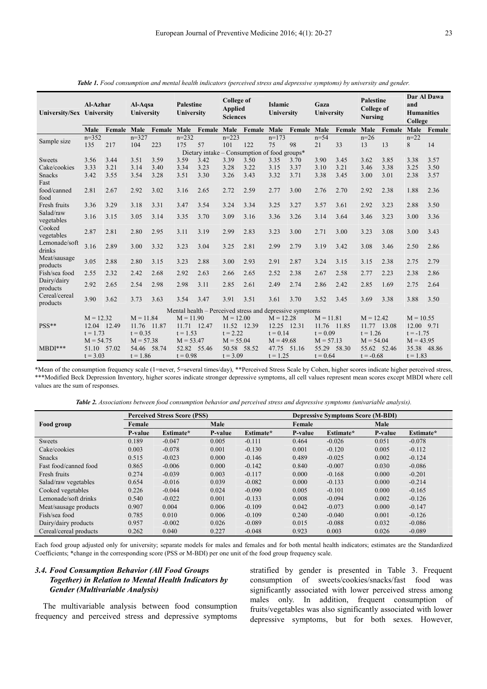| <b>Tuble 1.</b> Pood consumption and mental neath indicators (perceived stress and depressive symptoms) by antversity and gender. |                            |        |                              |                    |                                |                    |                                                        |        |                              |                    |                            |        |                                                         |        |                                                    |        |
|-----------------------------------------------------------------------------------------------------------------------------------|----------------------------|--------|------------------------------|--------------------|--------------------------------|--------------------|--------------------------------------------------------|--------|------------------------------|--------------------|----------------------------|--------|---------------------------------------------------------|--------|----------------------------------------------------|--------|
| University/Sex University                                                                                                         | Al-Azhar                   |        | Al-Aqsa<br><b>University</b> |                    | <b>Palestine</b><br>University |                    | <b>College of</b><br><b>Applied</b><br><b>Sciences</b> |        | <b>Islamic</b><br>University |                    | Gaza<br>University         |        | <b>Palestine</b><br><b>College of</b><br><b>Nursing</b> |        | Dar Al Dawa<br>and<br><b>Humanities</b><br>College |        |
|                                                                                                                                   | Male                       | Female | Male                         | <b>Female Male</b> |                                | <b>Female Male</b> |                                                        | Female | Male                         | <b>Female Male</b> |                            | Female | Male                                                    | Female | Male                                               | Female |
| Sample size                                                                                                                       | $n=352$                    |        | $n=327$                      |                    | $n=232$                        |                    | $n=223$                                                |        | $n=173$                      |                    | $n = 54$                   |        | $n=26$                                                  |        | $n=22$                                             |        |
|                                                                                                                                   | 135                        | 217    | 104                          | 223                | 175                            | 57                 | 101                                                    | 122    | 75                           | 98                 | 21                         | 33     | 13                                                      | 13     | 8                                                  | 14     |
| Dietary intake – Consumption of food groups*                                                                                      |                            |        |                              |                    |                                |                    |                                                        |        |                              |                    |                            |        |                                                         |        |                                                    |        |
| Sweets                                                                                                                            | 3.56                       | 3.44   | 3.51                         | 3.59               | 3.59                           | 3.42               | 3.39                                                   | 3.50   | 3.35                         | 3.70               | 3.90                       | 3.45   | 3.62                                                    | 3.85   | 3.38                                               | 3.57   |
| Cake/cookies                                                                                                                      | 3.33                       | 3.21   | 3.14                         | 3.40               | 3.34                           | 3.23               | 3.28                                                   | 3.22   | 3.15                         | 3.37               | 3.10                       | 3.21   | 3.46                                                    | 3.38   | 3.25                                               | 3.50   |
| Snacks                                                                                                                            | 3.42                       | 3.55   | 3.54                         | 3.28               | 3.51                           | 3.30               | 3.26                                                   | 3.43   | 3.32                         | 3.71               | 3.38                       | 3.45   | 3.00                                                    | 3.01   | 2.38                                               | 3.57   |
| Fast                                                                                                                              |                            |        |                              |                    |                                |                    |                                                        |        |                              |                    |                            |        |                                                         |        |                                                    |        |
| food/canned                                                                                                                       | 2.81                       | 2.67   | 2.92                         | 3.02               | 3.16                           | 2.65               | 2.72                                                   | 2.59   | 2.77                         | 3.00               | 2.76                       | 2.70   | 2.92                                                    | 2.38   | 1.88                                               | 2.36   |
| food                                                                                                                              |                            |        |                              |                    |                                |                    |                                                        |        |                              |                    |                            |        |                                                         |        |                                                    |        |
| Fresh fruits                                                                                                                      | 3.36                       | 3.29   | 3.18                         | 3.31               | 3.47                           | 3.54               | 3.24                                                   | 3.34   | 3.25                         | 3.27               | 3.57                       | 3.61   | 2.92                                                    | 3.23   | 2.88                                               | 3.50   |
| Salad/raw                                                                                                                         | 3.16                       | 3.15   | 3.05                         | 3.14               | 3.35                           | 3.70               | 3.09                                                   | 3.16   | 3.36                         | 3.26               | 3.14                       | 3.64   | 3.46                                                    | 3.23   | 3.00                                               | 3.36   |
| vegetables                                                                                                                        |                            |        |                              |                    |                                |                    |                                                        |        |                              |                    |                            |        |                                                         |        |                                                    |        |
| Cooked                                                                                                                            | 2.87                       | 2.81   | 2.80                         | 2.95               | 3.11                           | 3.19               | 2.99                                                   | 2.83   | 3.23                         | 3.00               | 2.71                       | 3.00   | 3.23                                                    | 3.08   | 3.00                                               | 3.43   |
| vegetables                                                                                                                        |                            |        |                              |                    |                                |                    |                                                        |        |                              |                    |                            |        |                                                         |        |                                                    |        |
| Lemonade/soft                                                                                                                     | 3.16                       | 2.89   | 3.00                         | 3.32               | 3.23                           | 3.04               | 3.25                                                   | 2.81   | 2.99                         | 2.79               | 3.19                       | 3.42   | 3.08                                                    | 3.46   | 2.50                                               | 2.86   |
| drinks                                                                                                                            |                            |        |                              |                    |                                |                    |                                                        |        |                              |                    |                            |        |                                                         |        |                                                    |        |
| Meat/sausage                                                                                                                      | 3.05                       | 2.88   | 2.80                         | 3.15               | 3.23                           | 2.88               | 3.00                                                   | 2.93   | 2.91                         | 2.87               | 3.24                       | 3.15   | 3.15                                                    | 2.38   | 2.75                                               | 2.79   |
| products                                                                                                                          |                            |        |                              |                    |                                |                    |                                                        |        |                              |                    |                            |        |                                                         |        |                                                    |        |
| Fish/sea food                                                                                                                     | 2.55                       | 2.32   | 2.42                         | 2.68               | 2.92                           | 2.63               | 2.66                                                   | 2.65   | 2.52                         | 2.38               | 2.67                       | 2.58   | 2.77                                                    | 2.23   | 2.38                                               | 2.86   |
| Dairy/dairy                                                                                                                       | 2.92                       | 2.65   | 2.54                         | 2.98               | 2.98                           | 3.11               | 2.85                                                   | 2.61   | 2.49                         | 2.74               | 2.86                       | 2.42   | 2.85                                                    | 1.69   | 2.75                                               | 2.64   |
| products                                                                                                                          |                            |        |                              |                    |                                |                    |                                                        |        |                              |                    |                            |        |                                                         |        |                                                    |        |
| Cereal/cereal                                                                                                                     | 3.90                       | 3.62   | 3.73                         | 3.63               | 3.54                           | 3.47               | 3.91                                                   | 3.51   | 3.61                         | 3.70               | 3.52                       | 3.45   | 3.69                                                    | 3.38   | 3.88                                               | 3.50   |
| products                                                                                                                          |                            |        |                              |                    |                                |                    |                                                        |        |                              |                    |                            |        |                                                         |        |                                                    |        |
| Mental health – Perceived stress and depressive symptoms<br>$M = 11.84$<br>$M = 11.90$                                            |                            |        |                              |                    |                                |                    |                                                        |        |                              |                    |                            |        |                                                         |        |                                                    |        |
| $PSS**$                                                                                                                           | $M = 12.32$<br>12.04 12.49 |        | 11.76 11.87                  |                    | 11.71 12.47                    |                    | $M = 12.00$<br>11.52 12.39                             |        | $M = 12.28$<br>12.25 12.31   |                    | $M = 11.81$<br>11.76 11.85 |        | $M = 12.42$<br>11.77 13.08                              |        | $M = 10.55$<br>12.00 9.71                          |        |
|                                                                                                                                   | $t = 1.73$                 |        | $t = 0.35$                   |                    | $t = 1.53$                     |                    | $t = 2.22$                                             |        | $t = 0.14$                   |                    | $t = 0.09$                 |        | $t = 1.26$                                              |        | $t = -1.75$                                        |        |
|                                                                                                                                   | $M = 54.75$                |        | $M = 57.38$                  |                    | $M = 53.47$                    |                    | $M = 55.04$                                            |        | $M = 49.68$                  |                    | $M = 57.13$                |        | $M = 54.04$                                             |        | $M = 43.95$                                        |        |
| $MBDI***$                                                                                                                         | 51.10 57.02                |        | 54.46 58.74                  |                    | 52.82 55.46                    |                    | 50.58 58.52                                            |        | 47.75 51.16                  |                    | 55.29 58.30                |        | 55.62 52.46                                             |        | 35.38 48.86                                        |        |
|                                                                                                                                   | $t = 3.03$                 |        | $t = 1.86$                   |                    | $t = 0.98$                     |                    | $t = 3.09$                                             |        | $t = 1.25$                   |                    | $t = 0.64$                 |        | $t = -0.68$                                             |        | $t = 1.83$                                         |        |
|                                                                                                                                   |                            |        |                              |                    |                                |                    |                                                        |        |                              |                    |                            |        |                                                         |        |                                                    |        |

*Table 1. Food consumption and mental health indicators (perceived stress and depressive symptoms) by university and gender.* 

\*Mean of the consumption frequency scale (1=never, 5=several times/day), \*\*Perceived Stress Scale by Cohen, higher scores indicate higher perceived stress, \*\*\*Modified Beck Depression Inventory, higher scores indicate stronger depressive symptoms, all cell values represent mean scores except MBDI where cell values are the sum of responses.

*Table 2. Associations between food consumption behavior and perceived stress and depressive symptoms (univariable analysis).*

|                        |         | <b>Perceived Stress Score (PSS)</b> |         |           | <b>Depressive Symptoms Score (M-BDI)</b> |           |         |           |  |  |
|------------------------|---------|-------------------------------------|---------|-----------|------------------------------------------|-----------|---------|-----------|--|--|
| Food group             | Female  |                                     | Male    |           | Female                                   |           | Male    |           |  |  |
|                        | P-value | Estimate*                           | P-value | Estimate* | P-value                                  | Estimate* | P-value | Estimate* |  |  |
| Sweets                 | 0.189   | $-0.047$                            | 0.005   | $-0.111$  | 0.464                                    | $-0.026$  | 0.051   | $-0.078$  |  |  |
| Cake/cookies           | 0.003   | $-0.078$                            | 0.001   | $-0.130$  | 0.001                                    | $-0.120$  | 0.005   | $-0.112$  |  |  |
| <b>Snacks</b>          | 0.515   | $-0.023$                            | 0.000   | $-0.146$  | 0.489                                    | $-0.025$  | 0.002   | $-0.124$  |  |  |
| Fast food/canned food  | 0.865   | $-0.006$                            | 0.000   | $-0.142$  | 0.840                                    | $-0.007$  | 0.030   | $-0.086$  |  |  |
| Fresh fruits           | 0.274   | $-0.039$                            | 0.003   | $-0.117$  | 0.000                                    | $-0.168$  | 0.000   | $-0.201$  |  |  |
| Salad/raw vegetables   | 0.654   | $-0.016$                            | 0.039   | $-0.082$  | 0.000                                    | $-0.133$  | 0.000   | $-0.214$  |  |  |
| Cooked vegetables      | 0.226   | $-0.044$                            | 0.024   | $-0.090$  | 0.005                                    | $-0.101$  | 0.000   | $-0.165$  |  |  |
| Lemonade/soft drinks   | 0.540   | $-0.022$                            | 0.001   | $-0.133$  | 0.008                                    | $-0.094$  | 0.002   | $-0.126$  |  |  |
| Meat/sausage products  | 0.907   | 0.004                               | 0.006   | $-0.109$  | 0.042                                    | $-0.073$  | 0.000   | $-0.147$  |  |  |
| Fish/sea food          | 0.785   | 0.010                               | 0.006   | $-0.109$  | 0.240                                    | $-0.040$  | 0.001   | $-0.126$  |  |  |
| Dairy/dairy products   | 0.957   | $-0.002$                            | 0.026   | $-0.089$  | 0.015                                    | $-0.088$  | 0.032   | $-0.086$  |  |  |
| Cereal/cereal products | 0.262   | 0.040                               | 0.227   | $-0.048$  | 0.923                                    | 0.003     | 0.026   | $-0.089$  |  |  |

Each food group adjusted only for university; separate models for males and females and for both mental health indicators; estimates are the Standardized Coefficients; \*change in the corresponding score (PSS or M-BDI) per one unit of the food group frequency scale.

### *3.4. Food Consumption Behavior (All Food Groups Together) in Relation to Mental Health Indicators by Gender (Multivariable Analysis)*

The multivariable analysis between food consumption frequency and perceived stress and depressive symptoms stratified by gender is presented in Table 3. Frequent consumption of sweets/cookies/snacks/fast food was significantly associated with lower perceived stress among males only. In addition, frequent consumption of fruits/vegetables was also significantly associated with lower depressive symptoms, but for both sexes. However,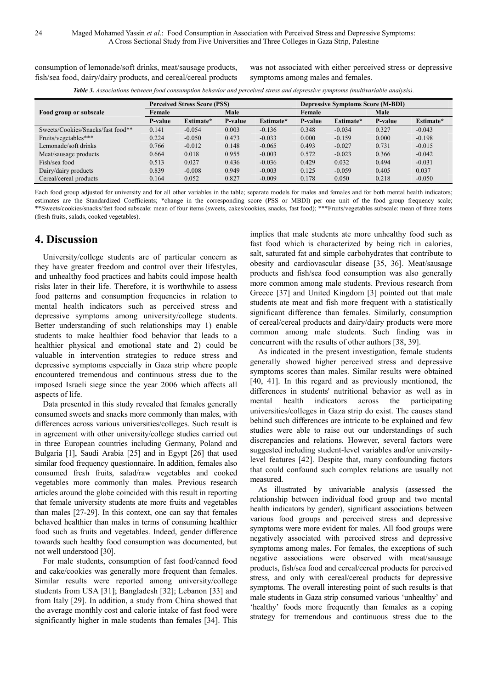consumption of lemonade/soft drinks, meat/sausage products, fish/sea food, dairy/dairy products, and cereal/cereal products

was not associated with either perceived stress or depressive symptoms among males and females.

**Table 3.** Associations between food consumption behavior and perceived stress and depressive symptoms (multivariable analysis).

|                                   |         | <b>Perceived Stress Score (PSS)</b> |         |           | <b>Depressive Symptoms Score (M-BDI)</b> |           |                |           |  |
|-----------------------------------|---------|-------------------------------------|---------|-----------|------------------------------------------|-----------|----------------|-----------|--|
| Food group or subscale            | Female  |                                     | Male    |           | Female                                   |           | Male           |           |  |
|                                   | P-value | Estimate*                           | P-value | Estimate* | <b>P-value</b>                           | Estimate* | <b>P-value</b> | Estimate* |  |
| Sweets/Cookies/Snacks/fast food** | 0.141   | $-0.054$                            | 0.003   | $-0.136$  | 0.348                                    | $-0.034$  | 0.327          | $-0.043$  |  |
| Fruits/vegetables***              | 0.224   | $-0.050$                            | 0.473   | $-0.033$  | 0.000                                    | $-0.159$  | 0.000          | $-0.198$  |  |
| Lemonade/soft drinks              | 0.766   | $-0.012$                            | 0.148   | $-0.065$  | 0.493                                    | $-0.027$  | 0.731          | $-0.015$  |  |
| Meat/sausage products             | 0.664   | 0.018                               | 0.955   | $-0.003$  | 0.572                                    | $-0.023$  | 0.366          | $-0.042$  |  |
| Fish/sea food                     | 0.513   | 0.027                               | 0.436   | $-0.036$  | 0.429                                    | 0.032     | 0.494          | $-0.031$  |  |
| Dairy/dairy products              | 0.839   | $-0.008$                            | 0.949   | $-0.003$  | 0.125                                    | $-0.059$  | 0.405          | 0.037     |  |
| Cereal/cereal products            | 0.164   | 0.052                               | 0.827   | $-0.009$  | 0.178                                    | 0.050     | 0.218          | $-0.050$  |  |

Each food group adjusted for university and for all other variables in the table; separate models for males and females and for both mental health indicators; estimates are the Standardized Coefficients; \*change in the corresponding score (PSS or MBDI) per one unit of the food group frequency scale; \*\*Sweets/cookies/snacks/fast food subscale: mean of four items (sweets, cakes/cookies, snacks, fast food); \*\*\*Fruits/vegetables subscale: mean of three items (fresh fruits, salads, cooked vegetables).

## **4. Discussion**

University/college students are of particular concern as they have greater freedom and control over their lifestyles, and unhealthy food practices and habits could impose health risks later in their life. Therefore, it is worthwhile to assess food patterns and consumption frequencies in relation to mental health indicators such as perceived stress and depressive symptoms among university/college students. Better understanding of such relationships may 1) enable students to make healthier food behavior that leads to a healthier physical and emotional state and 2) could be valuable in intervention strategies to reduce stress and depressive symptoms especially in Gaza strip where people encountered tremendous and continuous stress due to the imposed Israeli siege since the year 2006 which affects all aspects of life.

Data presented in this study revealed that females generally consumed sweets and snacks more commonly than males, with differences across various universities/colleges. Such result is in agreement with other university/college studies carried out in three European countries including Germany, Poland and Bulgaria [1], Saudi Arabia [25] and in Egypt [26] that used similar food frequency questionnaire. In addition, females also consumed fresh fruits, salad/raw vegetables and cooked vegetables more commonly than males. Previous research articles around the globe coincided with this result in reporting that female university students ate more fruits and vegetables than males [27-29]. In this context, one can say that females behaved healthier than males in terms of consuming healthier food such as fruits and vegetables. Indeed, gender difference towards such healthy food consumption was documented, but not well understood [30].

For male students, consumption of fast food/canned food and cake/cookies was generally more frequent than females. Similar results were reported among university/college students from USA [31]; Bangladesh [32]; Lebanon [33] and from Italy [29]. In addition, a study from China showed that the average monthly cost and calorie intake of fast food were significantly higher in male students than females [34]. This

implies that male students ate more unhealthy food such as fast food which is characterized by being rich in calories, salt, saturated fat and simple carbohydrates that contribute to obesity and cardiovascular disease [35, 36]. Meat/sausage products and fish/sea food consumption was also generally more common among male students. Previous research from Greece [37] and United Kingdom [3] pointed out that male students ate meat and fish more frequent with a statistically significant difference than females. Similarly, consumption of cereal/cereal products and dairy/dairy products were more common among male students. Such finding was in concurrent with the results of other authors [38, 39].

As indicated in the present investigation, female students generally showed higher perceived stress and depressive symptoms scores than males. Similar results were obtained [40, 41]. In this regard and as previously mentioned, the differences in students' nutritional behavior as well as in mental health indicators across the participating universities/colleges in Gaza strip do exist. The causes stand behind such differences are intricate to be explained and few studies were able to raise out our understandings of such discrepancies and relations. However, several factors were suggested including student-level variables and/or universitylevel features [42]. Despite that, many confounding factors that could confound such complex relations are usually not measured.

As illustrated by univariable analysis (assessed the relationship between individual food group and two mental health indicators by gender), significant associations between various food groups and perceived stress and depressive symptoms were more evident for males. All food groups were negatively associated with perceived stress and depressive symptoms among males. For females, the exceptions of such negative associations were observed with meat/sausage products, fish/sea food and cereal/cereal products for perceived stress, and only with cereal/cereal products for depressive symptoms. The overall interesting point of such results is that male students in Gaza strip consumed various 'unhealthy' and 'healthy' foods more frequently than females as a coping strategy for tremendous and continuous stress due to the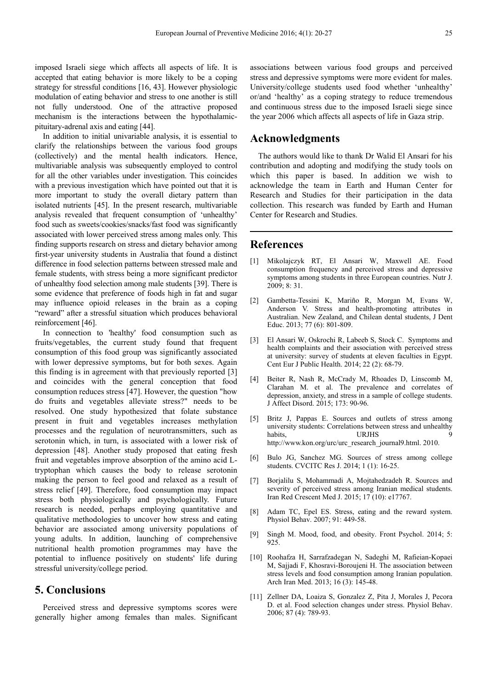imposed Israeli siege which affects all aspects of life. It is accepted that eating behavior is more likely to be a coping strategy for stressful conditions [16, 43]. However physiologic modulation of eating behavior and stress to one another is still not fully understood. One of the attractive proposed mechanism is the interactions between the hypothalamicpituitary-adrenal axis and eating [44].

In addition to initial univariable analysis, it is essential to clarify the relationships between the various food groups (collectively) and the mental health indicators. Hence, multivariable analysis was subsequently employed to control for all the other variables under investigation. This coincides with a previous investigation which have pointed out that it is more important to study the overall dietary pattern than isolated nutrients [45]. In the present research, multivariable analysis revealed that frequent consumption of 'unhealthy' food such as sweets/cookies/snacks/fast food was significantly associated with lower perceived stress among males only. This finding supports research on stress and dietary behavior among first-year university students in Australia that found a distinct difference in food selection patterns between stressed male and female students, with stress being a more significant predictor of unhealthy food selection among male students [39]. There is some evidence that preference of foods high in fat and sugar may influence opioid releases in the brain as a coping "reward" after a stressful situation which produces behavioral reinforcement [46].

In connection to 'healthy' food consumption such as fruits/vegetables, the current study found that frequent consumption of this food group was significantly associated with lower depressive symptoms, but for both sexes. Again this finding is in agreement with that previously reported [3] and coincides with the general conception that food consumption reduces stress [47]. However, the question "how do fruits and vegetables alleviate stress?" needs to be resolved. One study hypothesized that folate substance present in fruit and vegetables increases methylation processes and the regulation of neurotransmitters, such as serotonin which, in turn, is associated with a lower risk of depression [48]. Another study proposed that eating fresh fruit and vegetables improve absorption of the amino acid Ltryptophan which causes the body to release serotonin making the person to feel good and relaxed as a result of stress relief [49]. Therefore, food consumption may impact stress both physiologically and psychologically. Future research is needed, perhaps employing quantitative and qualitative methodologies to uncover how stress and eating behavior are associated among university populations of young adults. In addition, launching of comprehensive nutritional health promotion programmes may have the potential to influence positively on students' life during stressful university/college period.

### **5. Conclusions**

Perceived stress and depressive symptoms scores were generally higher among females than males. Significant associations between various food groups and perceived stress and depressive symptoms were more evident for males. University/college students used food whether 'unhealthy' or/and 'healthy' as a coping strategy to reduce tremendous and continuous stress due to the imposed Israeli siege since the year 2006 which affects all aspects of life in Gaza strip.

### **Acknowledgments**

The authors would like to thank Dr Walid El Ansari for his contribution and adopting and modifying the study tools on which this paper is based. In addition we wish to acknowledge the team in Earth and Human Center for Research and Studies for their participation in the data collection. This research was funded by Earth and Human Center for Research and Studies.

### **References**

- [1] Mikolajczyk RT, El Ansari W, Maxwell AE. Food consumption frequency and perceived stress and depressive symptoms among students in three European countries. Nutr J. 2009; 8: 31.
- [2] Gambetta-Tessini K, Mariño R, Morgan M, Evans W, Anderson V. Stress and health-promoting attributes in Australian. New Zealand, and Chilean dental students, J Dent Educ. 2013; 77 (6): 801-809.
- [3] El Ansari W, Oskrochi R, Labeeb S, Stock C. Symptoms and health complaints and their association with perceived stress at university: survey of students at eleven faculties in Egypt. Cent Eur J Public Health. 2014; 22 (2): 68-79.
- [4] Beiter R, Nash R, McCrady M, Rhoades D, Linscomb M, Clarahan M. et al. The prevalence and correlates of depression, anxiety, and stress in a sample of college students. J Affect Disord. 2015; 173: 90-96.
- [5] Britz J, Pappas E. Sources and outlets of stress among university students: Correlations between stress and unhealthy habits, URJHS http://www.kon.org/urc/urc\_research\_journal9.html. 2010.
- [6] Bulo JG, Sanchez MG. Sources of stress among college students. CVCITC Res J. 2014; 1 (1): 16-25.
- [7] Borjalilu S, Mohammadi A, Mojtahedzadeh R. Sources and severity of perceived stress among Iranian medical students. Iran Red Crescent Med J. 2015; 17 (10): e17767.
- [8] Adam TC, Epel ES. Stress, eating and the reward system. Physiol Behav. 2007; 91: 449-58.
- [9] Singh M. Mood, food, and obesity. Front Psychol. 2014; 5: 925.
- [10] Roohafza H, Sarrafzadegan N, Sadeghi M, Rafieian-Kopaei M, Sajjadi F, Khosravi-Boroujeni H. The association between stress levels and food consumption among Iranian population. Arch Iran Med. 2013; 16 (3): 145-48.
- [11] Zellner DA, Loaiza S, Gonzalez Z, Pita J, Morales J, Pecora D. et al. Food selection changes under stress. Physiol Behav. 2006; 87 (4): 789-93.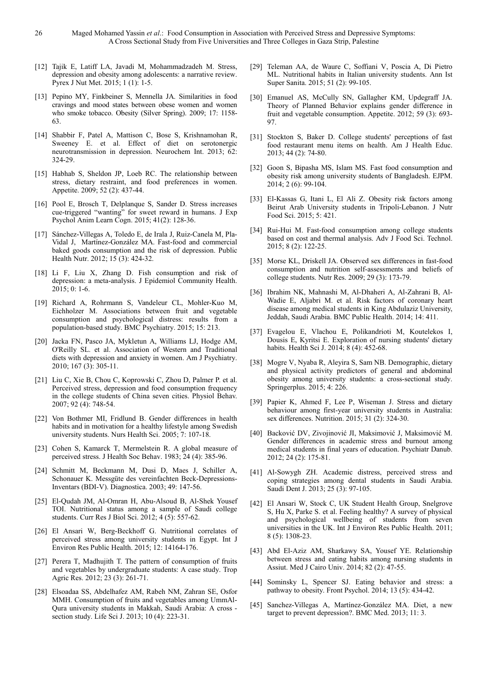- [12] Tajik E, Latiff LA, Javadi M, Mohammadzadeh M. Stress, depression and obesity among adolescents: a narrative review. Pyrex J Nut Met. 2015; 1 (1): 1-5.
- [13] Pepino MY, Finkbeiner S, Mennella JA. Similarities in food cravings and mood states between obese women and women who smoke tobacco. Obesity (Silver Spring). 2009; 17: 1158-63.
- [14] Shabbir F, Patel A, Mattison C, Bose S, Krishnamohan R, Sweeney E. et al. Effect of diet on serotonergic neurotransmission in depression. Neurochem Int. 2013; 62: 324-29.
- [15] Habhab S, Sheldon JP, Loeb RC. The relationship between stress, dietary restraint, and food preferences in women. Appetite. 2009; 52 (2): 437-44.
- [16] Pool E, Brosch T, Delplanque S, Sander D. Stress increases cue-triggered "wanting" for sweet reward in humans. J Exp Psychol Anim Learn Cogn. 2015; 41(2): 128-36.
- [17] Sánchez-Villegas A, Toledo E, de Irala J, Ruiz-Canela M, Pla-Vidal J, Martínez-González MA. Fast-food and commercial baked goods consumption and the risk of depression. Public Health Nutr. 2012; 15 (3): 424-32.
- [18] Li F, Liu X, Zhang D. Fish consumption and risk of depression: a meta-analysis. J Epidemiol Community Health. 2015; 0: 1-6.
- [19] Richard A, Rohrmann S, Vandeleur CL, Mohler-Kuo M, Eichholzer M. Associations between fruit and vegetable consumption and psychological distress: results from a population-based study. BMC Psychiatry. 2015; 15: 213.
- [20] Jacka FN, Pasco JA, Mykletun A, Williams LJ, Hodge AM, O'Reilly SL. et al. Association of Western and Traditional diets with depression and anxiety in women. Am J Psychiatry. 2010; 167 (3): 305-11.
- [21] Liu C, Xie B, Chou C, Koprowski C, Zhou D, Palmer P. et al. Perceived stress, depression and food consumption frequency in the college students of China seven cities. Physiol Behav. 2007; 92 (4): 748-54.
- [22] Von Bothmer MI, Fridlund B. Gender differences in health habits and in motivation for a healthy lifestyle among Swedish university students. Nurs Health Sci. 2005; 7: 107-18.
- [23] Cohen S, Kamarck T, Mermelstein R. A global measure of perceived stress. J Health Soc Behav. 1983; 24 (4): 385-96.
- [24] Schmitt M, Beckmann M, Dusi D, Maes J, Schiller A, Schonauer K. Messgüte des vereinfachten Beck-Depressions-Inventars (BDI-V). Diagnostica. 2003; 49: 147-56.
- [25] El-Qudah JM, Al-Omran H, Abu-Alsoud B, Al-Shek Yousef TOI. Nutritional status among a sample of Saudi college students. Curr Res J Biol Sci. 2012; 4 (5): 557-62.
- [26] El Ansari W, Berg-Beckhoff G. Nutritional correlates of perceived stress among university students in Egypt. Int J Environ Res Public Health. 2015; 12: 14164-176.
- [27] Perera T, Madhujith T. The pattern of consumption of fruits and vegetables by undergraduate students: A case study. Trop Agric Res. 2012; 23 (3): 261-71.
- [28] Elsoadaa SS, Abdelhafez AM, Rabeh NM, Zahran SE, Osfor MMH. Consumption of fruits and vegetables among UmmAl-Qura university students in Makkah, Saudi Arabia: A cross section study. Life Sci J. 2013; 10 (4): 223-31.
- [29] Teleman AA, de Waure C, Soffiani V, Poscia A, Di Pietro ML. Nutritional habits in Italian university students. Ann Ist Super Sanita. 2015; 51 (2): 99-105.
- [30] Emanuel AS, McCully SN, Gallagher KM, Updegraff JA. Theory of Planned Behavior explains gender difference in fruit and vegetable consumption. Appetite. 2012; 59 (3): 693- 97.
- [31] Stockton S, Baker D. College students' perceptions of fast food restaurant menu items on health. Am J Health Educ. 2013; 44 (2): 74-80.
- [32] Goon S, Bipasha MS, Islam MS. Fast food consumption and obesity risk among university students of Bangladesh. EJPM. 2014; 2 (6): 99-104.
- [33] El-Kassas G, Itani L, El Ali Z. Obesity risk factors among Beirut Arab University students in Tripoli-Lebanon. J Nutr Food Sci. 2015; 5: 421.
- [34] Rui-Hui M. Fast-food consumption among college students based on cost and thermal analysis. Adv J Food Sci. Technol. 2015; 8 (2): 122-25.
- [35] Morse KL, Driskell JA. Observed sex differences in fast-food consumption and nutrition self-assessments and beliefs of college students. Nutr Res. 2009; 29 (3): 173-79.
- [36] Ibrahim NK, Mahnashi M, Al-Dhaheri A, Al-Zahrani B, Al-Wadie E, Aljabri M. et al. Risk factors of coronary heart disease among medical students in King Abdulaziz University, Jeddah, Saudi Arabia. BMC Public Health. 2014; 14: 411.
- [37] Evagelou E, Vlachou E, Polikandrioti M, Koutelekos I, Dousis E, Kyritsi E. Exploration of nursing students' dietary habits. Health Sci J. 2014; 8 (4): 452-68.
- [38] Mogre V, Nyaba R, Aleyira S, Sam NB. Demographic, dietary and physical activity predictors of general and abdominal obesity among university students: a cross-sectional study. Springerplus. 2015; 4: 226.
- [39] Papier K, Ahmed F, Lee P, Wiseman J. Stress and dietary behaviour among first-year university students in Australia: sex differences. Nutrition. 2015; 31 (2): 324-30.
- [40] Backović DV, Zivojinović JI, Maksimović J, Maksimović M. Gender differences in academic stress and burnout among medical students in final years of education. Psychiatr Danub. 2012; 24 (2): 175-81.
- [41] Al-Sowygh ZH. Academic distress, perceived stress and coping strategies among dental students in Saudi Arabia. Saudi Dent J. 2013; 25 (3): 97-105.
- [42] El Ansari W, Stock C, UK Student Health Group, Snelgrove S, Hu X, Parke S. et al. Feeling healthy? A survey of physical and psychological wellbeing of students from seven universities in the UK. Int J Environ Res Public Health. 2011; 8 (5): 1308-23.
- [43] Abd El-Aziz AM, Sharkawy SA, Yousef YE. Relationship between stress and eating habits among nursing students in Assiut. Med J Cairo Univ. 2014; 82 (2): 47-55.
- [44] Sominsky L, Spencer SJ. Eating behavior and stress: a pathway to obesity. Front Psychol. 2014; 13 (5): 434-42.
- [45] Sanchez-Villegas A, Martínez-González MA. Diet, a new target to prevent depression?. BMC Med. 2013; 11: 3.